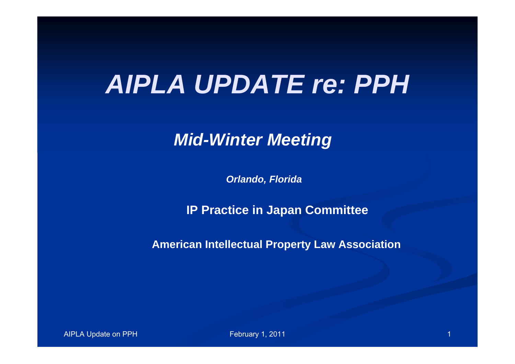### *AIPLA UPDATE re: PPH*

*Mid-Winter Meeting*

*Orlando, Florida* 

**IP Practice in Japan Committee**

**American Intellectual Property Law Association**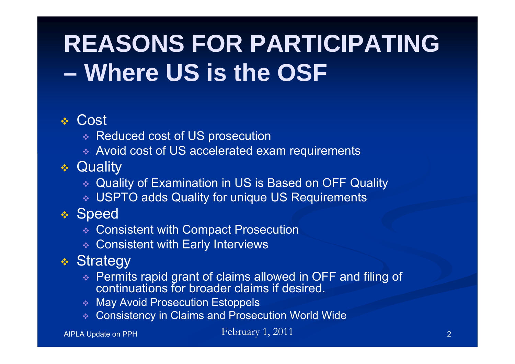## **REASONS FOR PARTICIPATING – Where US is the OSF**

#### **∻ Cost**

- Reduced cost of US prosecution
- Avoid cost of US accelerated exam requirements
- Quality
	- Quality of Examination in US is Based on OFF Quality
	- USPTO adds Quality for unique US Requirements

#### \* Speed

- Consistent with Compact Prosecution
- Consistent with Early Interviews
- Strategy
	- Permits rapid grant of claims allowed in OFF and filing of continuations for broader claims if desired.
	- May Avoid Prosecution Estoppels
	- Consistency in Claims and Prosecution World Wide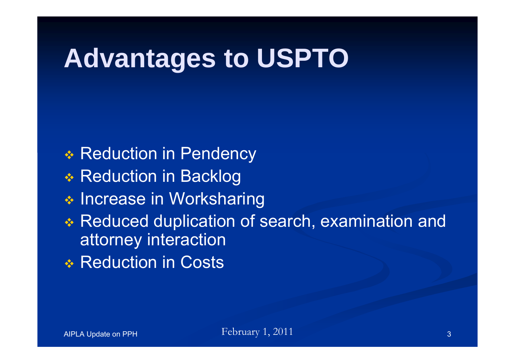## **Advantages to USPTO**

- **◆ Reduction in Pendency**
- **❖ Reduction in Backlog**
- **\* Increase in Worksharing**
- Reduced duplication of search, examination and attorney interaction
- **◆ Reduction in Costs**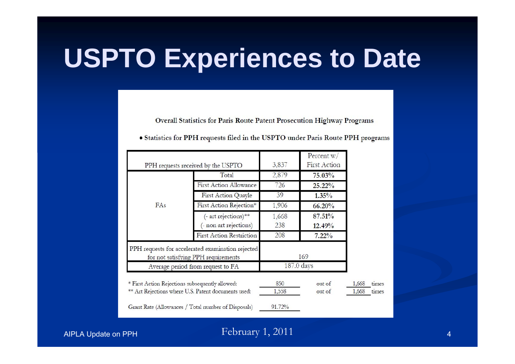**Overall Statistics for Paris Route Patent Prosecution Highway Programs** 

| PPH requests received by the USPTO                                                       |                                                     | 3,837      | Percent $w/$<br><b>First Action</b> |       |       |
|------------------------------------------------------------------------------------------|-----------------------------------------------------|------------|-------------------------------------|-------|-------|
|                                                                                          | Total                                               | 2,879      | 75.03%                              |       |       |
|                                                                                          | <b>First Action Allowance</b>                       | 726        | 25.22%                              |       |       |
|                                                                                          | First Action Quayle                                 | 39         | 1.35%                               |       |       |
| FAs                                                                                      | First Action Rejection*                             | 1,906      | 66.20%                              |       |       |
|                                                                                          | (- art rejections)**                                | 1,668      | 87.51%                              |       |       |
|                                                                                          | - non art rejections)                               | 238        | 12.49%                              |       |       |
|                                                                                          | <b>First Action Restriction</b>                     | 208        | 7.22%                               |       |       |
| PPH requests for accelerated examination rejected<br>for not satisfying PPH requirements |                                                     |            | 169                                 |       |       |
| Average period from request to FA                                                        |                                                     | 187.0 days |                                     |       |       |
|                                                                                          | * First Action Rejections subsequently allowed:     | 850        | out of                              | 1,668 | times |
| ** Art Rejections where U.S. Patent documents used:                                      |                                                     | 1,558      | out of                              | 1,668 | times |
|                                                                                          | Grant Rate (Allowances / Total number of Disposals) | 91.72%     |                                     |       |       |

• Statistics for PPH requests filed in the USPTO under Paris Route PPH programs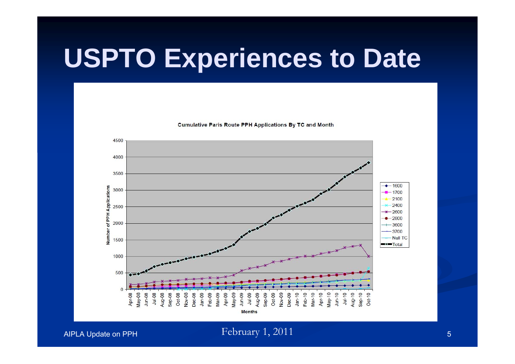**Cumulative Paris Route PPH Applications By TC and Month** 

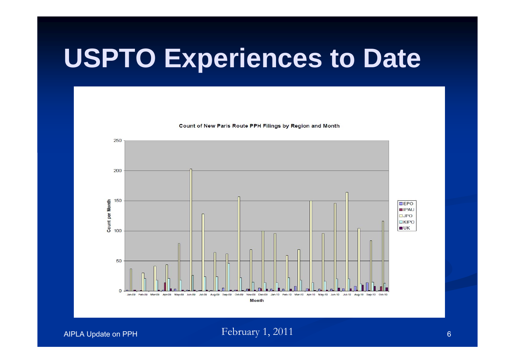Count of New Paris Route PPH Filings by Region and Month

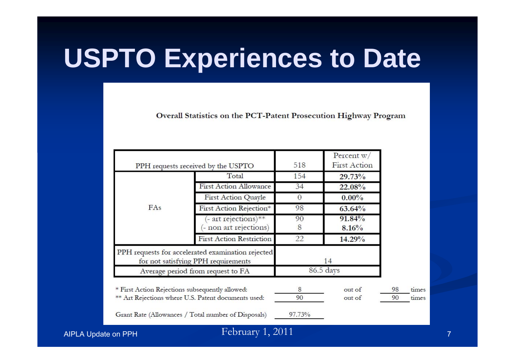Overall Statistics on the PCT-Patent Prosecution Highway Program

|                                                     |                                                                                          |           | Percent $w/$    |    |       |
|-----------------------------------------------------|------------------------------------------------------------------------------------------|-----------|-----------------|----|-------|
| PPH requests received by the USPTO                  |                                                                                          | 518       | First Action    |    |       |
|                                                     | Total                                                                                    | 154       | 29.73%          |    |       |
|                                                     | <b>First Action Allowance</b>                                                            | 34        | 22.08%          |    |       |
|                                                     | First Action Quayle                                                                      | 0         | $0.00\%$        |    |       |
| FAs                                                 | First Action Rejection*                                                                  | 98        | 63.64%          |    |       |
|                                                     | - art rejections)**<br>- non art rejections)                                             | 90<br>8   | 91.84%<br>8.16% |    |       |
|                                                     | <b>First Action Restriction</b>                                                          | 22        | 14.29%          |    |       |
|                                                     | PPH requests for accelerated examination rejected<br>for not satisfying PPH requirements |           | 14              |    |       |
| Average period from request to FA                   |                                                                                          | 86.5 days |                 |    |       |
|                                                     | * First Action Rejections subsequently allowed:                                          | 8         | out of          | 98 | times |
| ** Art Rejections where U.S. Patent documents used: |                                                                                          | 90        | out of          | 90 | times |

Grant Rate (Allowances / Total number of Disposals)

97.73%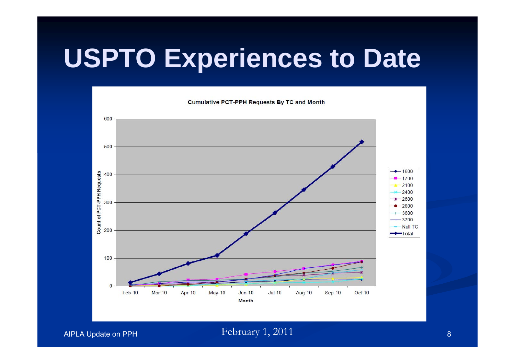

AIPLA Update on PPH February 1, 2011 and the contract of the state of the state of the state of the state of t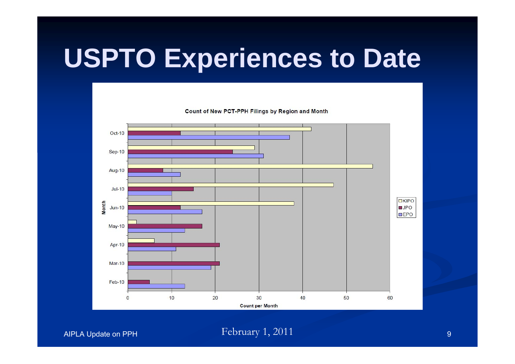Oct-10  $Sep-10$ Aug-10  $Jul-10$ **OKIPO** Month  $JPO$  $Jun-10$  $\square$ EPO  $May-10$ Apr-10 **Mar-10**  $Feb-10$  $\mathbf{0}$  $10$ 20 30 40 50 60 **Count per Month** 

Count of New PCT-PPH Filings by Region and Month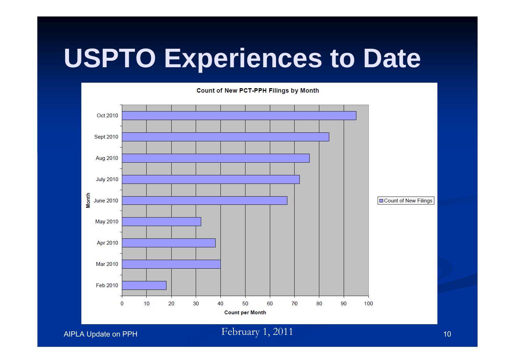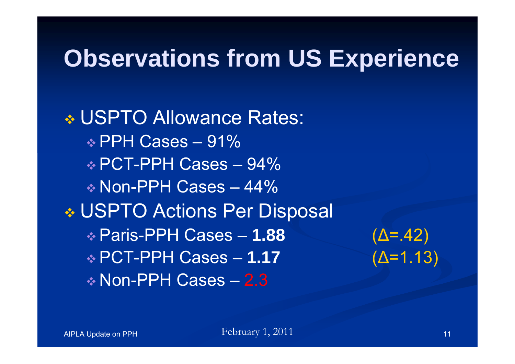#### **Observations from US Experience**

 USPTO Allowance Rates:  $\div$  PPH Cases – 91% PCT-PPH Cases – 94% Non-PPH Cases – 44% USPTO Actions Per Disposal Paris-PPH Cases – **1.88** (Δ=.42) PCT-PPH Cases – **1.17** (Δ=1.13) Non-PPH Cases – 2.3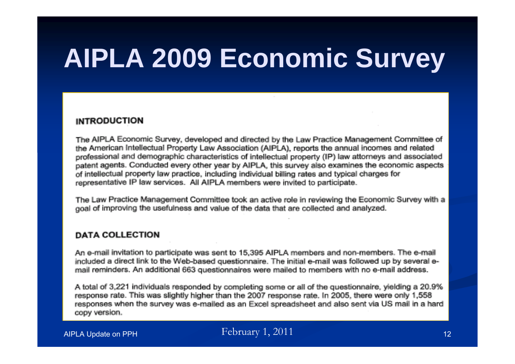## **AIPLA 2009 Economic Survey**

#### **INTRODUCTION**

The AIPLA Economic Survey, developed and directed by the Law Practice Management Committee of the American Intellectual Property Law Association (AIPLA), reports the annual incomes and related professional and demographic characteristics of intellectual property (IP) law attorneys and associated patent agents. Conducted every other year by AIPLA, this survey also examines the economic aspects of intellectual property law practice, including individual billing rates and typical charges for representative IP law services. All AIPLA members were invited to participate.

The Law Practice Management Committee took an active role in reviewing the Economic Survey with a goal of improving the usefulness and value of the data that are collected and analyzed.

#### **DATA COLLECTION**

An e-mail invitation to participate was sent to 15,395 AIPLA members and non-members. The e-mail included a direct link to the Web-based questionnaire. The initial e-mail was followed up by several email reminders. An additional 663 questionnaires were mailed to members with no e-mail address.

A total of 3,221 individuals responded by completing some or all of the questionnaire, yielding a 20.9% response rate. This was slightly higher than the 2007 response rate. In 2005, there were only 1,558 responses when the survey was e-mailed as an Excel spreadsheet and also sent via US mail in a hard copy version.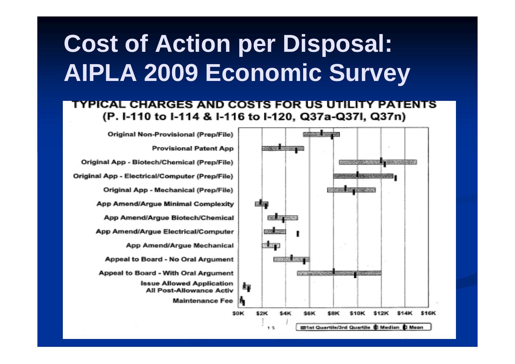### **Cost of Action per Disposal: AIPLA 2009 Economic Survey**

#### TYPICAL CHARGES AND COSTS FOR US UTILITY PATENTS (P. I-110 to I-114 & I-116 to I-120, Q37a-Q37I, Q37n)

Original Non-Provisional (Prep/File)

**Provisional Patent App** Original App - Biotech/Chemical (Prep/File) Original App - Electrical/Computer (Prep/File) Original App - Mechanical (Prep/File) App Amend/Argue Minimal Complexity App Amend/Argue Biotech/Chemical App Amend/Arque Electrical/Computer App Amend/Argue Mechanical Appeal to Board - No Oral Argument Appeal to Board - With Oral Argument **Issue Allowed Application** All Post-Allowance Activ **Maintenance Fee** \$0K

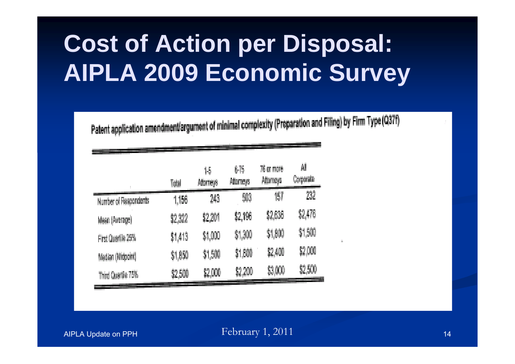## **Cost of Action per Disposal: AIPLA 2009 Economic Survey**

Patent application amendment/argument of minimal complexity (Preparation and Filing) by Firm Type (Q37f)

|                       | Total   | 15<br>Atomeys | 875<br>Altomays | 76 or more<br>Altomoya | ÁÍ<br>Corporate |
|-----------------------|---------|---------------|-----------------|------------------------|-----------------|
| Number of Respondents | 1,156   | 243           | 503             | 157                    | $232\,$         |
| Mean (Average)        | \$2,322 | \$2,201       | \$2,196         | \$2,636                | 82,476          |
| First Quartile 25%    | 制部      | \$1,000       | \$1,300         | \$1,800                | \$1,500         |
| Median (Midpoint)     | \$1,850 | \$1,500       | \$1,800         | \$2,400                | \$2,000         |
| Third Quartile 75%    | \$2,500 | \$2,000       |                 | $\$3,000$              | \$2,500         |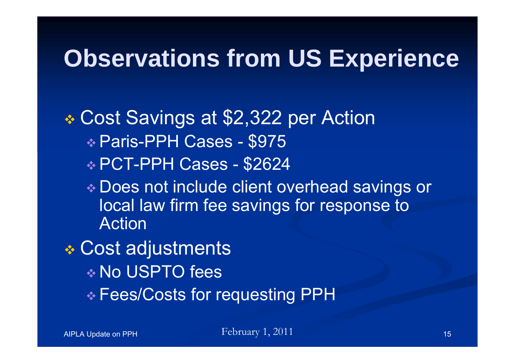#### **Observations from US Experience**

#### Cost Savings at \$2,322 per Action Paris-PPH Cases - \$975 PCT-PPH Cases - \$2624

 Does not include client overhead savings or local law firm fee savings for response to Action

#### Cost adjustments No USPTO fees Fees/Costs for requesting PPH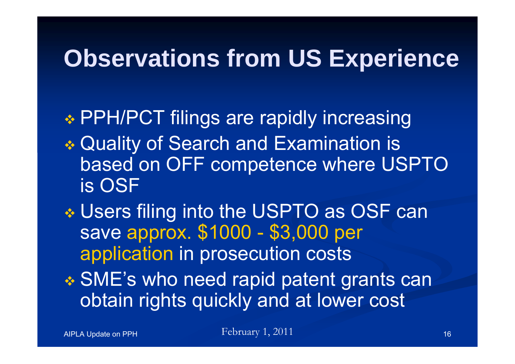#### **Observations from US Experience**

 PPH/PCT filings are rapidly increasing Quality of Search and Examination is based on OFF competence where USPTO is OSF

 Users filing into the USPTO as OSF can save approx. \$1000 - \$3,000 per application in prosecution costs SME's who need rapid patent grants can obtain rights quickly and at lower cost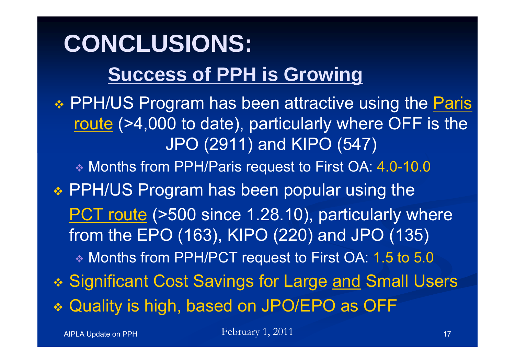#### **CONCLUSIONS: Success of PPH is Growing**

❖ PPH/US Program has been attractive using the **Paris** route (>4,000 to date), particularly where OFF is the JPO (2911) and KIPO (547)

Months from PPH/Paris request to First OA: 4.0-10.0

 PPH/US Program has been popular using the PCT route (>500 since 1.28.10), particularly where from the EPO (163), KIPO (220) and JPO (135) Months from PPH/PCT request to First OA: 1.5 to 5.0 ❖ Significant Cost Savings for Large <u>and</u> Small Users Quality is high, based on JPO/EPO as OFF